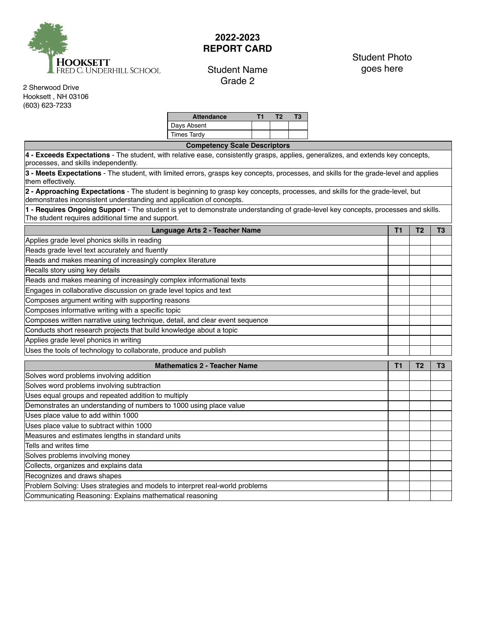

## **2022-2023 REPORT CARD**

## Student Name Grade 2

## Student Photo goes here

2 Sherwood Drive Hooksett , NH 03106 (603) 623-7233

| <b>Attendance</b>  |  |  |
|--------------------|--|--|
| Days Absent        |  |  |
| <b>Times Tardy</b> |  |  |

**Competency Scale Descriptors**

**4 - Exceeds Expectations** - The student, with relative ease, consistently grasps, applies, generalizes, and extends key concepts, processes, and skills independently.

**3 - Meets Expectations** - The student, with limited errors, grasps key concepts, processes, and skills for the grade‐level and applies them effectively.

**2 - Approaching Expectations** - The student is beginning to grasp key concepts, processes, and skills for the grade‐level, but demonstrates inconsistent understanding and application of concepts.

**1 - Requires Ongoing Support** - The student is yet to demonstrate understanding of grade‐level key concepts, processes and skills. The student requires additional time and support.

| Language Arts 2 - Teacher Name                                               |  |  |  |  |  |
|------------------------------------------------------------------------------|--|--|--|--|--|
| Applies grade level phonics skills in reading                                |  |  |  |  |  |
| Reads grade level text accurately and fluently                               |  |  |  |  |  |
| Reads and makes meaning of increasingly complex literature                   |  |  |  |  |  |
| Recalls story using key details                                              |  |  |  |  |  |
| Reads and makes meaning of increasingly complex informational texts          |  |  |  |  |  |
| Engages in collaborative discussion on grade level topics and text           |  |  |  |  |  |
| Composes argument writing with supporting reasons                            |  |  |  |  |  |
| Composes informative writing with a specific topic                           |  |  |  |  |  |
| Composes written narrative using technique, detail, and clear event sequence |  |  |  |  |  |
| Conducts short research projects that build knowledge about a topic          |  |  |  |  |  |
| Applies grade level phonics in writing                                       |  |  |  |  |  |
| Uses the tools of technology to collaborate, produce and publish             |  |  |  |  |  |

| <b>Mathematics 2 - Teacher Name</b>                                          |  |  |  |  |  |
|------------------------------------------------------------------------------|--|--|--|--|--|
| Solves word problems involving addition                                      |  |  |  |  |  |
| Solves word problems involving subtraction                                   |  |  |  |  |  |
| Uses equal groups and repeated addition to multiply                          |  |  |  |  |  |
| Demonstrates an understanding of numbers to 1000 using place value           |  |  |  |  |  |
| Uses place value to add within 1000                                          |  |  |  |  |  |
| Uses place value to subtract within 1000                                     |  |  |  |  |  |
| Measures and estimates lengths in standard units                             |  |  |  |  |  |
| Tells and writes time                                                        |  |  |  |  |  |
| Solves problems involving money                                              |  |  |  |  |  |
| Collects, organizes and explains data                                        |  |  |  |  |  |
| Recognizes and draws shapes                                                  |  |  |  |  |  |
| Problem Solving: Uses strategies and models to interpret real-world problems |  |  |  |  |  |
| Communicating Reasoning: Explains mathematical reasoning                     |  |  |  |  |  |